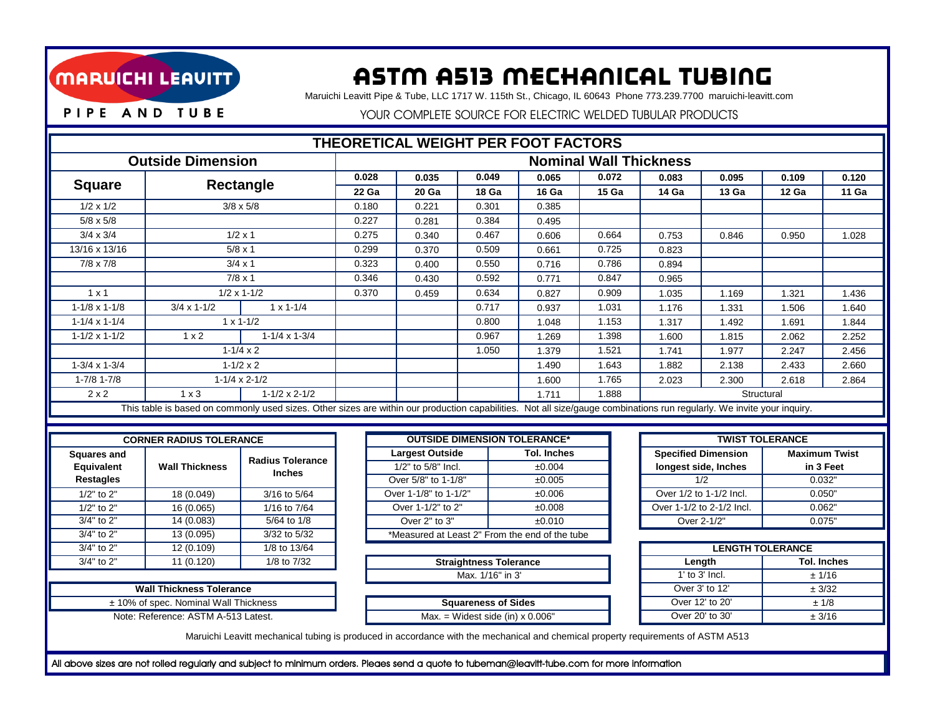

## ASTm A513 mechanical Tubing

Maruichi Leavitt Pipe & Tube, LLC 1717 W. 115th St., Chicago, IL 60643 Phone 773.239.7700 maruichi-leavitt.com

PIPE AND TUBE

YOUR COMPLETE SOURCE FOR ELECTRIC WELDED TUBULAR PRODUCTS

| THEORETICAL WEIGHT PER FOOT FACTORS                                                                                                                                    |                                     |                                          |                                         |                                                |                        |                |                    |                        |                           |                            |                         |                      |       |
|------------------------------------------------------------------------------------------------------------------------------------------------------------------------|-------------------------------------|------------------------------------------|-----------------------------------------|------------------------------------------------|------------------------|----------------|--------------------|------------------------|---------------------------|----------------------------|-------------------------|----------------------|-------|
| <b>Outside Dimension</b>                                                                                                                                               | <b>Nominal Wall Thickness</b>       |                                          |                                         |                                                |                        |                |                    |                        |                           |                            |                         |                      |       |
|                                                                                                                                                                        |                                     |                                          |                                         | 0.028<br>0.035                                 |                        |                | 0.049<br>0.065     |                        | 0.072                     | 0.083                      | 0.095                   | 0.109                | 0.120 |
| <b>Square</b>                                                                                                                                                          |                                     | <b>Rectangle</b>                         |                                         |                                                | 20 Ga                  | 18 Ga          |                    | 16 Ga                  | 15 Ga                     | 14 Ga                      | 13 Ga                   | 12 Ga                | 11 Ga |
| $1/2 \times 1/2$                                                                                                                                                       | $3/8 \times 5/8$                    |                                          |                                         | 0.180                                          | 0.301<br>0.221         |                |                    | 0.385                  |                           |                            |                         |                      |       |
| $5/8 \times 5/8$                                                                                                                                                       |                                     | 0.227                                    | 0.281                                   |                                                |                        | 0.384<br>0.495 |                    |                        |                           |                            |                         |                      |       |
| $3/4 \times 3/4$                                                                                                                                                       | $1/2 \times 1$                      |                                          |                                         | 0.275                                          | 0.467<br>0.340         |                |                    | 0.606                  | 0.664                     | 0.753                      | 0.846                   | 0.950                | 1.028 |
| 13/16 x 13/16                                                                                                                                                          | $5/8 \times 1$                      |                                          |                                         | 0.299                                          | 0.509<br>0.370         |                |                    | 0.661                  | 0.725                     | 0.823                      |                         |                      |       |
| $7/8 \times 7/8$                                                                                                                                                       | $3/4 \times 1$                      |                                          |                                         | 0.323                                          | 0.400                  | 0.550          |                    | 0.716                  | 0.786                     | 0.894                      |                         |                      |       |
|                                                                                                                                                                        | $7/8 \times 1$                      |                                          |                                         | 0.346                                          | 0.592<br>0.430         |                |                    | 0.771                  | 0.847                     | 0.965                      |                         |                      |       |
| $1 \times 1$                                                                                                                                                           |                                     | $1/2 \times 1 - 1/2$                     | 0.370                                   |                                                | 0.459                  | 0.634          |                    | 0.827                  | 0.909                     | 1.035                      | 1.169                   | 1.321                | 1.436 |
| $1-1/8 \times 1-1/8$                                                                                                                                                   | $3/4 \times 1 - 1/2$                | $1 \times 1 - 1/4$                       |                                         |                                                |                        | 0.717          |                    | 0.937                  | 1.031                     | 1.176                      | 1.331                   | 1.506                | 1.640 |
| $1 - 1/4 \times 1 - 1/4$                                                                                                                                               |                                     | $1 \times 1 - 1/2$                       |                                         |                                                |                        | 0.800          |                    | 1.048                  | 1.153                     | 1.317                      | 1.492                   | 1.691                | 1.844 |
| $1 - 1/2 \times 1 - 1/2$                                                                                                                                               | $1 \times 2$                        | $1 - 1/4 \times 1 - 3/4$                 |                                         |                                                |                        | 0.967          |                    | 1.269                  | 1.398                     | 1.600                      | 1.815                   | 2.062                | 2.252 |
|                                                                                                                                                                        |                                     | $1 - 1/4 \times 2$                       |                                         |                                                |                        | 1.050          |                    | 1.379                  | 1.521                     | 1.741                      | 1.977                   | 2.247                | 2.456 |
| $1-3/4 \times 1-3/4$                                                                                                                                                   |                                     | $1 - 1/2 \times 2$                       |                                         |                                                |                        |                |                    | 1.490                  | 1.643                     | 1.882                      | 2.138                   | 2.433                | 2.660 |
| $1 - 7/8$ 1-7/8                                                                                                                                                        |                                     | $1-1/4 \times 2-1/2$                     |                                         |                                                |                        |                |                    | 1.600                  | 1.765                     | 2.023                      | 2.300                   | 2.618                | 2.864 |
| 2x2                                                                                                                                                                    | $1 \times 3$                        | $1 - 1/2 \times 2 - 1/2$                 |                                         |                                                |                        |                |                    | 1.711                  | 1.888                     |                            | Structural              |                      |       |
| This table is based on commonly used sizes. Other sizes are within our production capabilities. Not all size/gauge combinations run regularly. We invite your inquiry. |                                     |                                          |                                         |                                                |                        |                |                    |                        |                           |                            |                         |                      |       |
|                                                                                                                                                                        |                                     |                                          |                                         |                                                |                        |                |                    |                        |                           |                            |                         |                      |       |
| <b>CORNER RADIUS TOLERANCE</b>                                                                                                                                         | <b>OUTSIDE DIMENSION TOLERANCE*</b> |                                          |                                         |                                                |                        |                |                    | <b>TWIST TOLERANCE</b> |                           |                            |                         |                      |       |
| <b>Squares and</b>                                                                                                                                                     | <b>Wall Thickness</b>               | <b>Radius Tolerance</b><br><b>Inches</b> |                                         |                                                | <b>Largest Outside</b> |                | <b>Tol. Inches</b> |                        |                           | <b>Specified Dimension</b> |                         | <b>Maximum Twist</b> |       |
| Equivalent                                                                                                                                                             |                                     |                                          |                                         |                                                | 1/2" to 5/8" Incl.     |                |                    | ±0.004                 |                           | longest side, Inches       |                         | in 3 Feet            |       |
| <b>Restagles</b>                                                                                                                                                       |                                     |                                          |                                         | Over 5/8" to 1-1/8"                            |                        |                | ±0.005             |                        |                           | 1/2                        |                         | 0.032"               |       |
| 1/2" to 2"                                                                                                                                                             | 18 (0.049)                          | 3/16 to 5/64                             |                                         |                                                | Over 1-1/8" to 1-1/2"  |                |                    | ±0.006                 |                           | Over 1/2 to 1-1/2 Incl.    |                         | 0.050"               |       |
| 1/2" to 2"                                                                                                                                                             | 16 (0.065)                          | 1/16 to 7/64                             |                                         | Over 1-1/2" to 2"                              |                        |                |                    | ±0.008                 |                           | Over 1-1/2 to 2-1/2 Incl.  |                         | 0.062"               |       |
| 3/4" to 2"                                                                                                                                                             | 14(0.083)                           | 5/64 to 1/8                              |                                         | Over 2" to 3"                                  |                        |                |                    | ±0.010                 |                           | Over 2-1/2"                |                         | 0.075"               |       |
| 3/4" to 2"                                                                                                                                                             | 13 (0.095)                          | 3/32 to 5/32                             |                                         | *Measured at Least 2" From the end of the tube |                        |                |                    |                        |                           |                            |                         |                      |       |
| 3/4" to 2"                                                                                                                                                             | 12 (0.109)<br>11 (0.120)            | 1/8 to 13/64<br>1/8 to 7/32              |                                         |                                                |                        |                |                    |                        |                           |                            | <b>LENGTH TOLERANCE</b> |                      |       |
| 3/4" to 2"                                                                                                                                                             | <b>Straightness Tolerance</b>       |                                          |                                         |                                                |                        |                |                    | Length                 |                           |                            | <b>Tol. Inches</b>      |                      |       |
|                                                                                                                                                                        | <b>Wall Thickness Tolerance</b>     | Max. 1/16" in 3'                         |                                         |                                                |                        |                |                    | 1' to 3' Incl.         |                           | ± 1/16                     |                         |                      |       |
|                                                                                                                                                                        |                                     |                                          |                                         |                                                |                        |                |                    | Over 3' to 12'         |                           | $\pm 3/32$                 |                         |                      |       |
| ± 10% of spec. Nominal Wall Thickness                                                                                                                                  |                                     | <b>Squareness of Sides</b>               |                                         |                                                |                        |                |                    | Over 12' to 20'        |                           | ± 1/8                      |                         |                      |       |
|                                                                                                                                                                        | Note: Reference: ASTM A-513 Latest. |                                          | Max. = Widest side (in) $\times$ 0.006" |                                                |                        |                |                    |                        | Over 20' to 30'<br>± 3/16 |                            |                         |                      |       |
| Maruichi Leavitt mechanical tubing is produced in accordance with the mechanical and chemical property requirements of ASTM A513                                       |                                     |                                          |                                         |                                                |                        |                |                    |                        |                           |                            |                         |                      |       |

All above sizes are not rolled regularly and subject to minimum orders. Pleaes send a quote to tubeman@leavitt-tube.com for more information